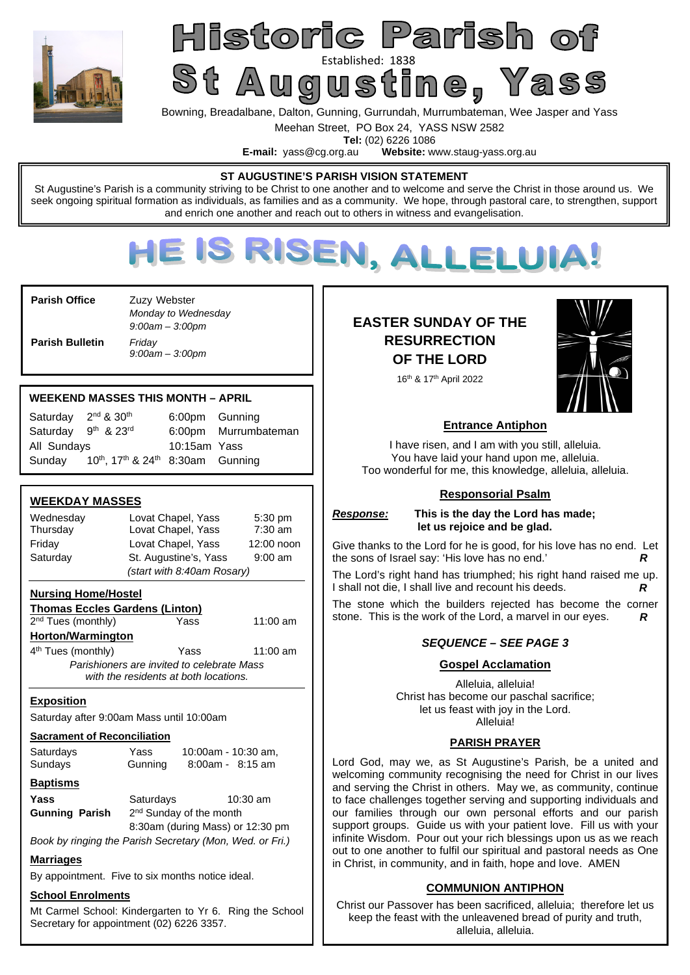

# Historic Parish of St Augustine en Yass

Bowning, Breadalbane, Dalton, Gunning, Gurrundah, Murrumbateman, Wee Jasper and Yass

Meehan Street, PO Box 24, YASS NSW 2582

**Tel:** (02) 6226 1086<br>**E-mail:** vass@cg.org.au **Website:** w Website: www.staug-yass.org.au

#### **ST AUGUSTINE'S PARISH VISION STATEMENT**

St Augustine's Parish is a community striving to be Christ to one another and to welcome and serve the Christ in those around us. We seek ongoing spiritual formation as individuals, as families and as a community. We hope, through pastoral care, to strengthen, support and enrich one another and reach out to others in witness and evangelisation.



**Parish Office Zuzy Webster** *Monday to Wednesday 9:00am – 3:00pm*  **Parish Bulletin** *Friday 9:00am – 3:00pm* 

#### **WEEKEND MASSES THIS MONTH – APRIL**

| Saturday 2 <sup>nd</sup> & 30 <sup>th</sup> |                                                                       | 6:00pm Gunning |                      |
|---------------------------------------------|-----------------------------------------------------------------------|----------------|----------------------|
| Saturday 9th & 23rd                         |                                                                       |                | 6:00pm Murrumbateman |
| All Sundays                                 |                                                                       | 10:15am Yass   |                      |
| Sunday                                      | 10 <sup>th</sup> , 17 <sup>th</sup> & 24 <sup>th</sup> 8:30am Gunning |                |                      |

#### **WEEKDAY MASSES**

| Wednesday | Lovat Chapel, Yass                 | $5:30$ pm  |
|-----------|------------------------------------|------------|
| Thursday  | Lovat Chapel, Yass                 | 7:30 am    |
| Friday    | Lovat Chapel, Yass                 | 12:00 noon |
| Saturday  | St. Augustine's, Yass<br>$9:00$ am |            |
|           | (start with 8:40am Rosary)         |            |

#### **Nursing Home/Hostel**

**Thomas Eccles Gardens (Linton)**  2<sup>nd</sup> Tues (monthly) **The State Yass** 11:00 am **Horton/Warmington**  4 th Tues (monthly) Yass 11:00 am

*Parishioners are invited to celebrate Mass with the residents at both locations.* 

**Exposition** 

Saturday after 9:00am Mass until 10:00am

#### **Sacrament of Reconciliation**

| Saturdays | Yass    | 10:00am - 10:30 am, |
|-----------|---------|---------------------|
| Sundays   | Gunning | $8:00am - 8:15 am$  |
|           |         |                     |

| <b>Baptisms</b> |  |
|-----------------|--|
|                 |  |

**Yass Saturdays 10:30 am Gunning Parish** 2<sup>nd</sup> Sunday of the month

8:30am (during Mass) or 12:30 pm

*Book by ringing the Parish Secretary (Mon, Wed. or Fri.)* 

#### **Marriages**

By appointment. Five to six months notice ideal.

#### **School Enrolments**

Mt Carmel School: Kindergarten to Yr 6. Ring the School Secretary for appointment (02) 6226 3357.

## **EASTER SUNDAY OF THE RESURRECTION OF THE LORD**



16th & 17th April 2022

#### **Entrance Antiphon**

I have risen, and I am with you still, alleluia. You have laid your hand upon me, alleluia. Too wonderful for me, this knowledge, alleluia, alleluia.

#### **Responsorial Psalm**

*Response:* **This is the day the Lord has made; let us rejoice and be glad.** 

Give thanks to the Lord for he is good, for his love has no end. Let the sons of Israel say: 'His love has no end.' *R*

The Lord's right hand has triumphed; his right hand raised me up. I shall not die, I shall live and recount his deeds. *R* 

The stone which the builders rejected has become the corner stone. This is the work of the Lord, a marvel in our eyes. *R* 

#### *SEQUENCE – SEE PAGE 3*

#### **Gospel Acclamation**

Alleluia, alleluia! Christ has become our paschal sacrifice; let us feast with joy in the Lord. Alleluia!

#### **PARISH PRAYER**

Lord God, may we, as St Augustine's Parish, be a united and welcoming community recognising the need for Christ in our lives and serving the Christ in others. May we, as community, continue to face challenges together serving and supporting individuals and our families through our own personal efforts and our parish support groups. Guide us with your patient love. Fill us with your infinite Wisdom. Pour out your rich blessings upon us as we reach out to one another to fulfil our spiritual and pastoral needs as One in Christ, in community, and in faith, hope and love. AMEN

#### **COMMUNION ANTIPHON**

Christ our Passover has been sacrificed, alleluia; therefore let us keep the feast with the unleavened bread of purity and truth, alleluia, alleluia.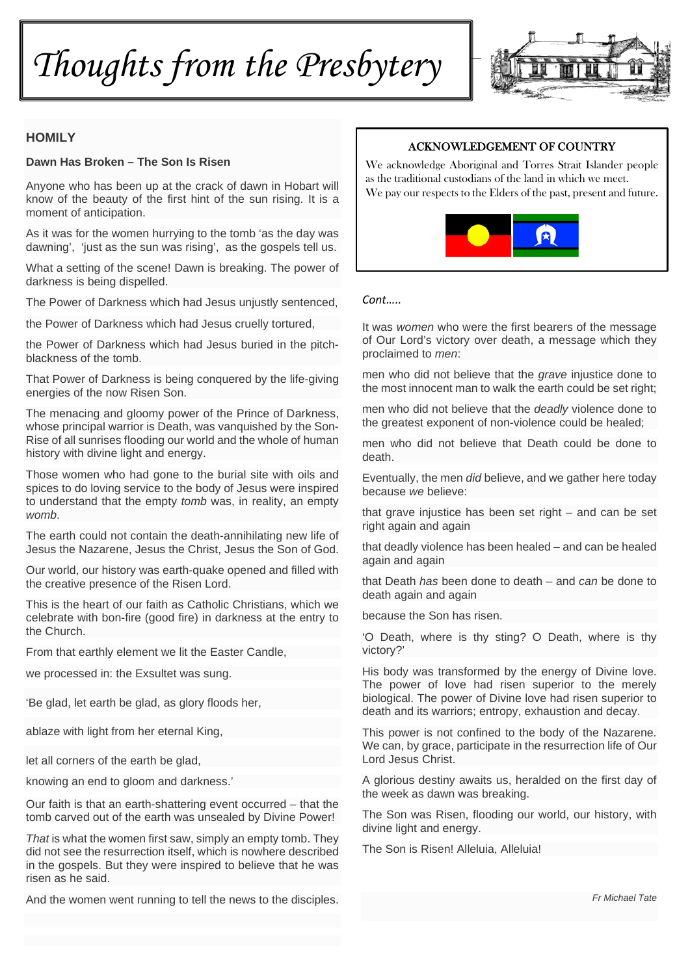*Thoughts from the Presbytery* 



#### **HOMILY**

#### **Dawn Has Broken – The Son Is Risen**

Anyone who has been up at the crack of dawn in Hobart will know of the beauty of the first hint of the sun rising. It is a moment of anticipation.

As it was for the women hurrying to the tomb 'as the day was dawning', 'just as the sun was rising', as the gospels tell us.

What a setting of the scene! Dawn is breaking. The power of darkness is being dispelled.

The Power of Darkness which had Jesus unjustly sentenced,

the Power of Darkness which had Jesus cruelly tortured,

the Power of Darkness which had Jesus buried in the pitchblackness of the tomb.

That Power of Darkness is being conquered by the life-giving energies of the now Risen Son.

The menacing and gloomy power of the Prince of Darkness, whose principal warrior is Death, was vanquished by the Son-Rise of all sunrises flooding our world and the whole of human history with divine light and energy.

Those women who had gone to the burial site with oils and spices to do loving service to the body of Jesus were inspired to understand that the empty *tomb* was, in reality, an empty *womb*.

The earth could not contain the death-annihilating new life of Jesus the Nazarene, Jesus the Christ, Jesus the Son of God.

Our world, our history was earth-quake opened and filled with the creative presence of the Risen Lord.

This is the heart of our faith as Catholic Christians, which we celebrate with bon-fire (good fire) in darkness at the entry to the Church.

From that earthly element we lit the Easter Candle,

we processed in: the Exsultet was sung.

'Be glad, let earth be glad, as glory floods her,

ablaze with light from her eternal King,

let all corners of the earth be glad,

knowing an end to gloom and darkness.'

Our faith is that an earth-shattering event occurred – that the tomb carved out of the earth was unsealed by Divine Power!

*That* is what the women first saw, simply an empty tomb. They did not see the resurrection itself, which is nowhere described in the gospels. But they were inspired to believe that he was risen as he said.

And the women went running to tell the news to the disciples.

#### ACKNOWLEDGEMENT OF COUNTRY

We acknowledge Aboriginal and Torres Strait Islander people as the traditional custodians of the land in which we meet. We pay our respects to the Elders of the past, present and future.



#### *Cont…..*

It was *women* who were the first bearers of the message of Our Lord's victory over death, a message which they proclaimed to *men*:

men who did not believe that the *grave* injustice done to the most innocent man to walk the earth could be set right;

men who did not believe that the *deadly* violence done to the greatest exponent of non-violence could be healed;

men who did not believe that Death could be done to death.

Eventually, the men *did* believe, and we gather here today because *we* believe:

that grave injustice has been set right – and can be set right again and again

that deadly violence has been healed – and can be healed again and again

that Death *has* been done to death – and *can* be done to death again and again

because the Son has risen.

'O Death, where is thy sting? O Death, where is thy victory?'

His body was transformed by the energy of Divine love. The power of love had risen superior to the merely biological. The power of Divine love had risen superior to death and its warriors; entropy, exhaustion and decay.

This power is not confined to the body of the Nazarene. We can, by grace, participate in the resurrection life of Our Lord Jesus Christ.

A glorious destiny awaits us, heralded on the first day of the week as dawn was breaking.

The Son was Risen, flooding our world, our history, with divine light and energy.

The Son is Risen! Alleluia, Alleluia!

*Fr Michael Tate*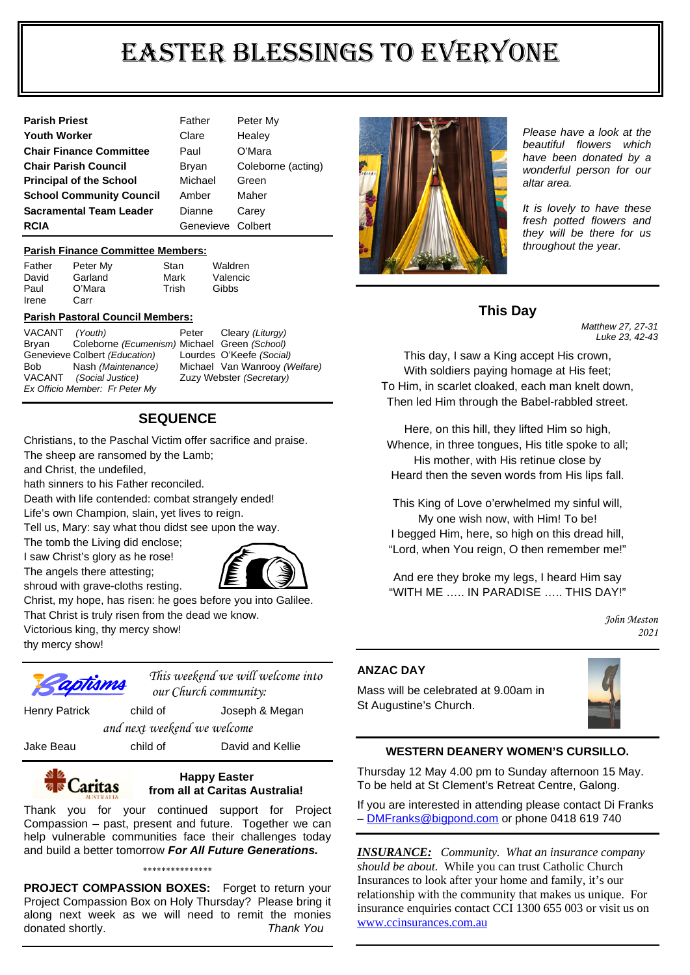# EASTER BLESSINGS TO EVERYONE

| <b>Parish Priest</b>            | Father            | Peter My           |
|---------------------------------|-------------------|--------------------|
| <b>Youth Worker</b>             | Clare             | Healey             |
| <b>Chair Finance Committee</b>  | Paul              | O'Mara             |
| <b>Chair Parish Council</b>     | <b>Bryan</b>      | Coleborne (acting) |
| <b>Principal of the School</b>  | Michael           | Green              |
| <b>School Community Council</b> | Amber             | Maher              |
| <b>Sacramental Team Leader</b>  | Dianne            | Carey              |
| <b>RCIA</b>                     | Genevieve Colbert |                    |

#### **Parish Finance Committee Members:**

Father Peter My Stan Waldren David Garland Mark Valencic Paul O'Mara Trish Gibbs Irene Carr

#### **Parish Pastoral Council Members:**

| VACANT (Youth)                 |                                              | Peter | Cleary (Liturgy)              |
|--------------------------------|----------------------------------------------|-------|-------------------------------|
| Bryan                          | Coleborne (Ecumenism) Michael Green (School) |       |                               |
|                                | Genevieve Colbert (Education)                |       | Lourdes O'Keefe (Social)      |
| Bob                            | Nash (Maintenance)                           |       | Michael Van Wanrooy (Welfare) |
|                                | VACANT (Social Justice)                      |       | Zuzy Webster (Secretary)      |
| Ex Officio Member: Fr Peter My |                                              |       |                               |

#### **SEQUENCE**

Christians, to the Paschal Victim offer sacrifice and praise.

The sheep are ransomed by the Lamb;

and Christ, the undefiled,

hath sinners to his Father reconciled.

Death with life contended: combat strangely ended!

Life's own Champion, slain, yet lives to reign.

Tell us, Mary: say what thou didst see upon the way.

The tomb the Living did enclose;

I saw Christ's glory as he rose! The angels there attesting; shroud with grave-cloths resting.



Christ, my hope, has risen: he goes before you into Galilee. That Christ is truly risen from the dead we know.

Victorious king, thy mercy show!

thy mercy show!



*This weekend we will welcome into our Church community:* 

Henry Patrick child of Joseph & Megan

*and next weekend we welcome* 

Jake Beau child of David and Kellie

#### **Happy Easter Caritas from all at Caritas Australia!**

Thank you for your continued support for Project Compassion – past, present and future. Together we can help vulnerable communities face their challenges today and build a better tomorrow *For All Future Generations.* 

**PROJECT COMPASSION BOXES:** Forget to return your Project Compassion Box on Holy Thursday? Please bring it along next week as we will need to remit the monies donated shortly. *Thank You* 

\*\*\*\*\*\*\*\*\*\*\*\*\*\*\*



*Please have a look at the beautiful flowers which have been donated by a wonderful person for our altar area.* 

*It is lovely to have these fresh potted flowers and they will be there for us throughout the year.* 

### **This Day**

*Matthew 27, 27-31 Luke 23, 42-43* 

This day, I saw a King accept His crown, With soldiers paying homage at His feet; To Him, in scarlet cloaked, each man knelt down, Then led Him through the Babel-rabbled street.

Here, on this hill, they lifted Him so high, Whence, in three tongues, His title spoke to all; His mother, with His retinue close by Heard then the seven words from His lips fall.

This King of Love o'erwhelmed my sinful will, My one wish now, with Him! To be! I begged Him, here, so high on this dread hill, "Lord, when You reign, O then remember me!"

And ere they broke my legs, I heard Him say "WITH ME ... IN PARADISE ... THIS DAY!"

> *John Meston 2021*

#### **ANZAC DAY**

Mass will be celebrated at 9.00am in St Augustine's Church.



#### **WESTERN DEANERY WOMEN'S CURSILLO.**

Thursday 12 May 4.00 pm to Sunday afternoon 15 May. To be held at St Clement's Retreat Centre, Galong.

If you are interested in attending please contact Di Franks - DMFranks@bigpond.com or phone 0418 619 740

*INSURANCE: Community. What an insurance company should be about.* While you can trust Catholic Church Insurances to look after your home and family, it's our relationship with the community that makes us unique. For insurance enquiries contact CCI 1300 655 003 or visit us on www.ccinsurances.com.au